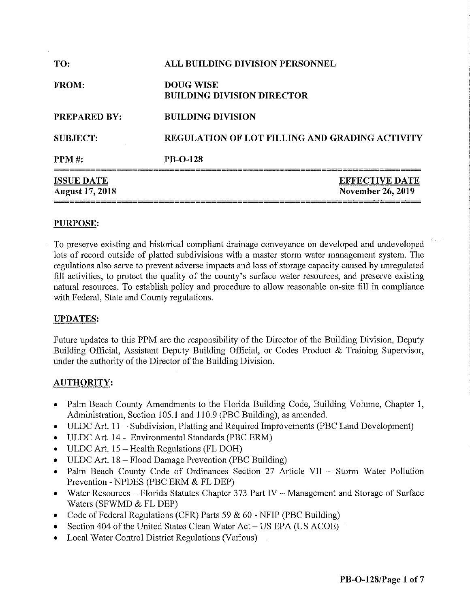| <b>ISSUE DATE</b><br><b>August 17, 2018</b> |                                                       | <b>EFFECTIVE DATE</b><br><b>November 26, 2019</b> |
|---------------------------------------------|-------------------------------------------------------|---------------------------------------------------|
| <b>PPM</b> #:                               | <b>PB-O-128</b>                                       |                                                   |
| <b>SUBJECT:</b>                             | <b>REGULATION OF LOT FILLING AND GRADING ACTIVITY</b> |                                                   |
| <b>PREPARED BY:</b>                         | <b>BUILDING DIVISION</b>                              |                                                   |
| FROM:                                       | <b>DOUG WISE</b><br><b>BUILDING DIVISION DIRECTOR</b> |                                                   |
| TO:                                         | ALL BUILDING DIVISION PERSONNEL                       |                                                   |

# **PURPOSE:**

To preserve existing and historical compliant drainage conveyance on developed and undeveloped lots of record outside of platted subdivisions with a master storm water management system. The regulations also serve to prevent adverse impacts and loss of storage capacity caused by unregulated fill activities, to protect the quality of the county's surface water resources, and preserve existing natural resources. To establish policy and procedure to allow reasonable on-site fill in compliance with Federal, State and County regulations.

### **UPDATES:**

Future updates to this PPM are the responsibility of the Director of the Building Division, Deputy Building Official, Assistant Deputy Building Official, or Codes Product & Training Supervisor, under the authority of the Director of the Building Division.

# **AUTHORITY:**

- Palm Beach County Amendments to the Florida Building Code, Building Volume, Chapter 1, Administration, Section 105.1 and 110.9 (PBC Building), as amended.
- ULDC Art. 11 Subdivision, Platting and Required Improvements (PBC Land Development)
- ULDC Art. 14 Environmental Standards (PBC ERM)
- ULDC Art. 15 Health Regulations (FL DOH)
- ULDC Art. 18 Flood Damage Prevention (PBC Building)
- Palm Beach County Code of Ordinances Section 27 Article VII Storm Water Pollution Prevention - NPDES (PBC ERM & FL DEP)
- Water Resources Florida Statutes Chapter 373 Part IV Management and Storage of Surface Waters (SFWMD & FL DEP)
- Code of Federal Regulations (CFR) Parts 59  $& 60$  NFIP (PBC Building)
- Section 404 of the United States Clean Water Act US EPA (US ACOE)
- **Local Water Control District Regulations (Various)**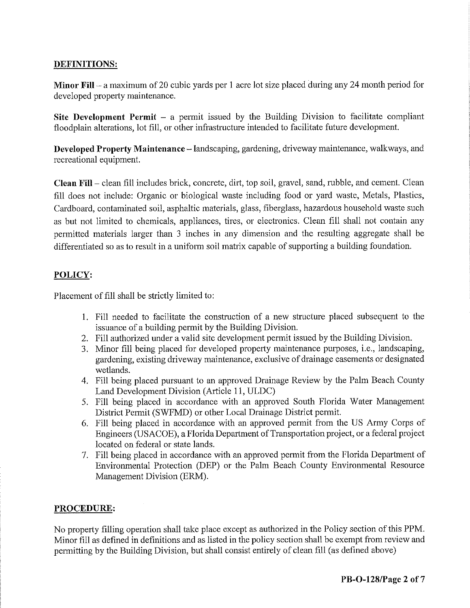# **DEFINITIONS:**

**Minor Fill-** a maximum of20 cubic yards per 1 acre lot size placed during any 24 month period for developed property maintenance.

**Site Development Permit**  $-$  a permit issued by the Building Division to facilitate compliant floodplain alterations, lot fill, or other infrastructure intended to facilitate future development.

**Developed Property Maintenance** - landscaping, gardening, driveway maintenance, walkways, and recreational equipment.

**Clean Fill** – clean fill includes brick, concrete, dirt, top soil, gravel, sand, rubble, and cement. Clean fill does not include: Organic or biological waste including food or yard waste, Metals, Plastics, Cardboard, contaminated soil, asphaltic materials, glass, fiberglass, hazardous household waste such as but not limited to chemicals, appliances, tires, or electronics. Clean fill shall not contain any permitted materials larger than 3 inches in any dimension and the resulting aggregate shall be differentiated so as to result in a uniform soil matrix capable of supporting a building foundation.

# **POLICY:**

Placement of fill shall be strictly limited to:

- I. Fill needed to facilitate the construction of a new structure placed subsequent to the issuance of a building pennit by the Building Division.
- 2. Fill authorized under a valid site development permit issued by the Building Division.
- 3. Minor fill being placed for developed property maintenance purposes, i.e., landscaping, gardening, existing driveway maintenance, exclusive of drainage easements or designated wetlands.
- 4. Fill being placed pursuant to an approved Drainage Review by the Palm Beach County Land Development Division (Article 11, ULDC)
- 5. Fill being placed in accordance with an approved South Florida Water Management District Permit (SWFMD) or other Local Drainage District permit.
- 6. Fill being placed in accordance with an approved permit from the US Army Corps of Engineers (USACOE), a Florida Department of Transportation project, or a federal project located on federal or state lands.
- 7. Fill being placed in accordance with an approved permit from the Florida Department of Environmental Protection (DEP) or the Palm Beach County Environmental Resource Management Division (ERM).

### **PROCEDURE:**

No property filling operation shall take place except as authorized in the Policy section of this PPM. Minor fill as defined in definitions and as listed in the policy section shall be exempt from review and permitting by the Building Division, but shall consist entirely of clean fill (as defined above)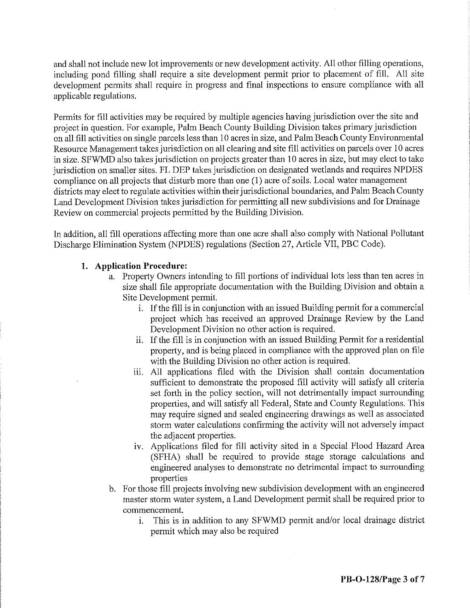and shall not include new lot improvements or new development activity. All other filling operations, including pond filling shall require a site development permit prior to placement of fill. All site development permits shall require in progress and final inspections to ensure compliance with all applicable regulations.

Permits for fill activities may be required by multiple agencies having jurisdiction over the site and project in question. For example, Palm Beach County Building Division takes primary jurisdiction on all fill activities on single parcels less than 10 acres in size, and Palm Beach County Environmental Resource Management takes jurisdiction on all clearing and site fill activities on parcels over 10 acres in size. SFWMD also takes jurisdiction on projects greater than 10 acres in size, but may elect to take jurisdiction on smaller sites. FL DEP takes jurisdiction on designated wetlands and requires NPDES compliance on all projects that disturb more than one (1) acre of soils. Local water management districts may elect to regulate activities within their jurisdictional boundaries, and Palm Beach County Land Development Division takes jurisdiction for permitting all new subdivisions and for Drainage Review on commercial projects permitted by the Building Division.

In addition, all fill operations affecting more than one acre shall also comply with National Pollutant Discharge Elimination System (NPDES) regulations (Section 27, Article VII, PBC Code).

## **1. Application Procedure:**

- a. Property Owners intending to fill portions of individual lots less than ten acres in size shall file appropriate documentation with the Building Division and obtain a Site Development permit.
	- i. If the fill is in conjunction with an issued Building permit for a commercial project which has received an approved Drainage Review by the Land Development Division no other action is required.
	- ii. If the fill is in conjunction with an issued Building Permit for a residential property, and is being placed in compliance with the approved plan on file with the Building Division no other action is required.
	- iii. All applications filed with the Division shall contain documentation sufficient to demonstrate the proposed fill activity will satisfy all criteria set forth in the policy section, will not detrimentally impact surrounding properties, and will satisfy all Federal, State and County Regulations. This may require signed and sealed engineering drawings as well as associated storm water calculations confirming the activity will not adversely impact the adjacent properties.
	- iv. Applications filed for fill activity sited in a Special Flood Hazard Area (SFHA) shall be required to provide stage storage calculations and engineered analyses to demonstrate no detrimental impact to surrounding properties
- b. For those fill projects involving new subdivision development with an engineered master storm water system, a Land Development permit shall be required prior to commencement.
	- 1. This is in addition to any SFWMD permit and/or local drainage district permit which may also be required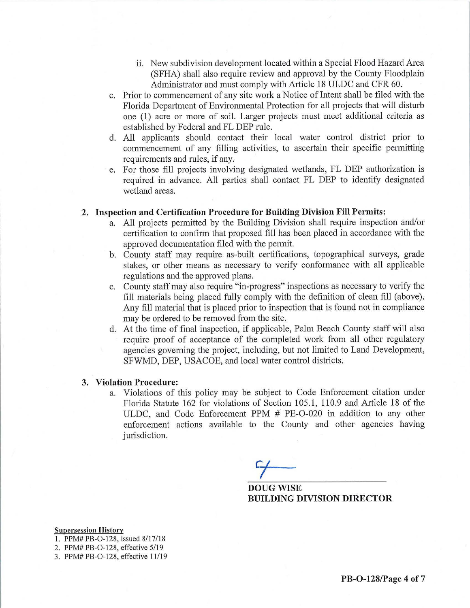- ii. New subdivision development located within a Special Flood Hazard Area (SFHA) shall also require review and approval by the County Floodplain Administrator and must comply with Article 18 ULDC and CFR 60.
- c. Prior to commencement of any site work a Notice of Intent shall be filed with the Florida Department of Environmental Protection for all projects that will disturb one (1) acre or more of soil. Larger projects must meet additional criteria as established by Federal and FL DEP rule.
- d. All applicants should contact their local water control district prior to commencement of any filling activities, to ascertain their specific permitting requirements and rules, if any.
- e. For those fill projects involving designated wetlands, FL DEP authorization is required in advance. All parties shall contact FL DEP to identify designated wetland areas.

### **2. Inspection and Certification Procedure for Building Division Fill Permits:**

- a. All projects permitted by the Building Division shall require inspection and/or certification to confirm that proposed fill has been placed in accordance with the approved documentation filed with the permit.
- b. County staff may require as-built certifications, topographical surveys, grade stakes, or other means as necessary to verify conformance with all applicable regulations and the approved plans.
- c. County staff may also require "in-progress" inspections as necessary to verify the fill materials being placed fully comply with the definition of clean fill (above). Any fill material that is placed prior to inspection that is found not in compliance may be ordered to be removed from the site.
- d. At the time of final inspection, if applicable, Palm Beach County staff will also require proof of acceptance of the completed work from all other regulatory agencies governing the project, including, but not limited to Land Development, SFWMD, DEP, USACOE, and local water control districts.

### **3. Violation Procedure:**

a. Violations of this policy may be subject to Code Enforcement citation under Florida Statute 162 for violations of Section 105.1, 110.9 and Article 18 of the ULDC, and Code Enforcement PPM # PE-O-020 in addition to any other enforcement actions available to the County and other agencies having jurisdiction.

**Ct** *I* 

**DOUG WISE BUILDING DIVISION DIRECTOR** 

#### **Supersession History**

- 1. PPM# PB-O-128, issued 8/17/18
- 2. PPM# PB-O-128, effective 5/19
- 3. PPM# PB-0 -128, effective 11/19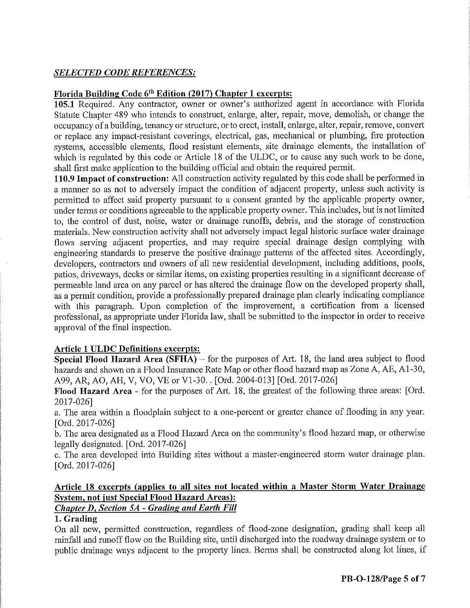# *SELECTED CODE REFERENCES:*

# **Florida Building Code 6th Edition (2017) Chapter 1 excerpts:**

**105.1** Required. Any contractor, owner or owner's authorized agent in accordance with Florida Statute Chapter 489 who intends to construct, enlarge, alter, repair, move, demolish, or change the occupancy of a building, tenancy or structure, or to erect, install, enlarge, alter, repair, remove, convert or replace any impact-resistant coverings, electrical, gas, mechanical or plumbing, fire protection systems, accessible elements, flood resistant elements, site drainage elements, the installation of which is regulated by this code or Article 18 of the ULDC, or to cause any such work to be done, shall first make application to the building official and obtain the required permit.

**110.9 Impact of construction:** All construction activity regulated by this code shall be performed in a manner so as not to adversely impact the condition of adjacent property, unless such activity is permitted to affect said property pursuant to a consent granted by the applicable property owner, under terms or conditions agreeable to the applicable property owner. This includes, but is not limited to, the control of dust, noise, water or drainage runoffs, debris, and the storage of construction materials. New construction activity shall not adversely impact legal historic surface water drainage flows serving adjacent properties, and may require special drainage design complying with engineering standards to preserve the positive drainage patterns of the affected sites. Accordingly, developers, contractors and owners of all new residential development, including additions, pools, patios, driveways, decks or similar items, on existing properties resulting in a significant decrease of permeable land area on any parcel or has altered the drainage flow on the developed property shall, as a permit condition, provide a professionally prepared drainage plan clearly indicating compliance with this paragraph. Upon completion of the improvement, a certification from a licensed professional, as appropriate under Florida law, shall be submitted to the inspector **in** order to receive approval of the final inspection.

### **Article 1 ULDC Definitions excerpts:**

**Special Flood Hazard Area (SFHA)** – for the purposes of Art. 18, the land area subject to flood hazards and shown on a Flood Insurance Rate Map or other flood hazard map as Zone A, AE, Al-30, A99, AR, AO, AH, V, VO, VE or Vl-30 .. [Ord. 2004-013] [Ord. 2017-026]

**Flood Hazard Area -** for the purposes of Art. 18, the greatest of the following three areas: [Ord. 2017-026]

a. The area within a floodplain subject to a one-percent or greater chance of flooding in any year. [Ord. 2017-026]

b. The area designated as a Flood Hazard Area on the community's flood hazard map, or otherwise legally designated. [Ord. 2017-026]

c. The area developed into Building sites without a master-engineered storm water drainage plan. [Ord. 2017-026]

# **Article 18 excerpts (applies to all sites not located within a Master Storm Water Drainage System, not just Special Flood Hazard Areas):**

# *Chapter D, Section* **SA -** *Grading and Earth Fill*

# **1. Grading**

On all new, permitted construction, regardless of flood-zone designation, grading shall keep all rainfall and runoff flow on the Building site, until discharged into the roadway drainage system or to public drainage ways adjacent to the property lines. Berms shall be constructed along lot lines, if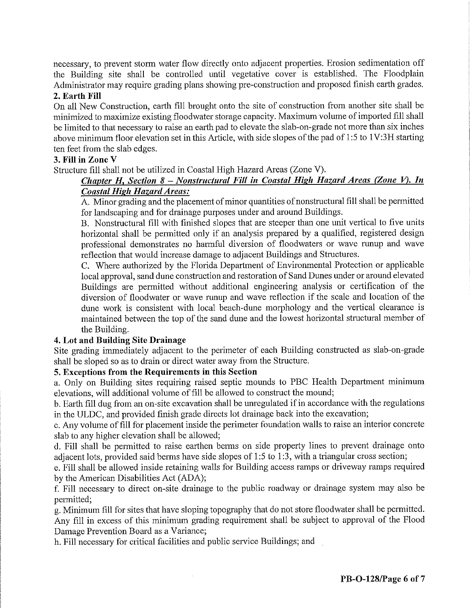necessary, to prevent storm water flow directly onto adjacent properties. Erosion sedimentation off the Building site shall be controlled until vegetative cover is established. The Floodplain Administrator may require grading plans showing pre-construction and proposed finish earth grades.

### **2. Earth Fill**

On all New Construction, earth fill brought onto the site of construction from another site shall be minimized to maximize existing floodwater storage capacity. Maximum volume of imported fill shall be limited to that necessary to raise an earth pad to elevate the slab-on-grade not more than six inches above minimum floor elevation set in this Article, with side slopes of the pad of 1:5 to 1V:3H starting ten feet from the slab edges.

## **3. Fill in Zone V**

Structure fill shall not be utilized in Coastal High Hazard Areas (Zone V).

# *Chapter H, Section 8* **-** *Nonstructural Fill in Coastal High Hazard Areas (Zone V). In Coastal High Hazard Areas:*

A. Minor grading and the placement of minor quantities of nonstructural fill shall be permitted for landscaping and for drainage purposes under and around Buildings.

B. Nonstructural fill with finished slopes that are steeper than one unit vertical to five units horizontal shall be permitted only if an analysis prepared by a qualified, registered design professional demonstrates no hannful diversion of floodwaters or wave runup and wave reflection that would increase damage to adjacent Buildings and Structures.

C. Where authorized by the Florida Department of Environmental Protection or applicable local approval, sand dune construction and restoration of Sand Dunes under or around elevated Buildings are permitted without additional engineering analysis or certification of the diversion of floodwater or wave runup and wave reflection if the scale and location of the dune work is consistent with local beach-dune morphology and the vertical clearance is maintained between the top of the sand dune and the lowest horizontal structural member of the Building.

# **4. Lot and Building Site Drainage**

Site grading immediately adjacent to the perimeter of each Building constructed as slab-on-grade shall be sloped so as to drain or direct water away from the Structure.

# **5. Exceptions from the Requirements in this Section**

a. Only on Building sites requiring raised septic mounds to PBC Health Department minimum elevations, will additional volume of fill be allowed to construct the mound;

b. Earth fill dug from an on-site excavation shall be unregulated if in accordance with the regulations in the ULDC, and provided finish grade directs lot drainage back into the excavation;

c. Any volume of fill for placement inside the perimeter foundation walls to raise an interior concrete slab to any higher elevation shall be allowed;

d. Fill shall be permitted to raise earthen berms on side property lines to prevent drainage onto adjacent lots, provided said berms have side slopes of 1:5 to 1:3, with a triangular cross section;

e. Fill shall be allowed inside retaining walls for Building access rmnps or driveway rmnps required by the American Disabilities Act (ADA);

f. Fill necessary to direct on-site drainage to the public roadway or drainage system may also be permitted;

g. Minimum fill for sites that have sloping topography that do not store floodwater shall be permitted. Any fill in excess of this minimum grading requirement shall be subject to approval of the Flood Damage Prevention Board as a Variance;

h. Fill necessary for critical facilities and public service Buildings; and